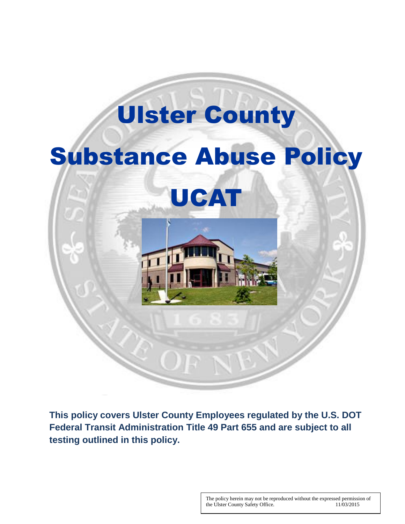

**This policy covers Ulster County Employees regulated by the U.S. DOT Federal Transit Administration Title 49 Part 655 and are subject to all testing outlined in this policy.**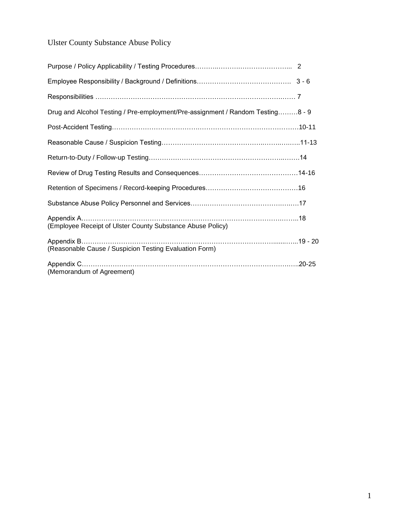## Ulster County Substance Abuse Policy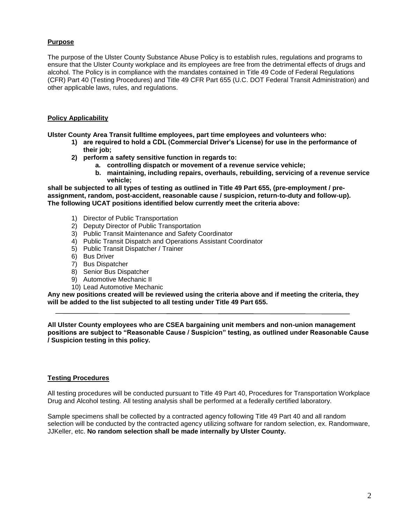#### **Purpose**

The purpose of the Ulster County Substance Abuse Policy is to establish rules, regulations and programs to ensure that the Ulster County workplace and its employees are free from the detrimental effects of drugs and alcohol. The Policy is in compliance with the mandates contained in Title 49 Code of Federal Regulations (CFR) Part 40 (Testing Procedures) and Title 49 CFR Part 655 (U.C. DOT Federal Transit Administration) and other applicable laws, rules, and regulations.

#### **Policy Applicability**

**Ulster County Area Transit fulltime employees, part time employees and volunteers who:**

- **1) are required to hold a CDL (Commercial Driver's License) for use in the performance of their job;**
- **2) perform a safety sensitive function in regards to:**
	- **a. controlling dispatch or movement of a revenue service vehicle;**
	- **b. maintaining, including repairs, overhauls, rebuilding, servicing of a revenue service vehicle;**

**shall be subjected to all types of testing as outlined in Title 49 Part 655, (pre-employment / preassignment, random, post-accident, reasonable cause / suspicion, return-to-duty and follow-up). The following UCAT positions identified below currently meet the criteria above:**

- 1) Director of Public Transportation
- 2) Deputy Director of Public Transportation
- 3) Public Transit Maintenance and Safety Coordinator
- 4) Public Transit Dispatch and Operations Assistant Coordinator
- 5) Public Transit Dispatcher / Trainer
- 6) Bus Driver
- 7) Bus Dispatcher
- 8) Senior Bus Dispatcher
- 9) Automotive Mechanic II
- 10) Lead Automotive Mechanic

**Any new positions created will be reviewed using the criteria above and if meeting the criteria, they will be added to the list subjected to all testing under Title 49 Part 655.**

**All Ulster County employees who are CSEA bargaining unit members and non-union management positions are subject to "Reasonable Cause / Suspicion" testing, as outlined under Reasonable Cause / Suspicion testing in this policy.**

#### **Testing Procedures**

All testing procedures will be conducted pursuant to Title 49 Part 40, Procedures for Transportation Workplace Drug and Alcohol testing. All testing analysis shall be performed at a federally certified laboratory.

Sample specimens shall be collected by a contracted agency following Title 49 Part 40 and all random selection will be conducted by the contracted agency utilizing software for random selection, ex. Randomware, JJKeller, etc. **No random selection shall be made internally by Ulster County.**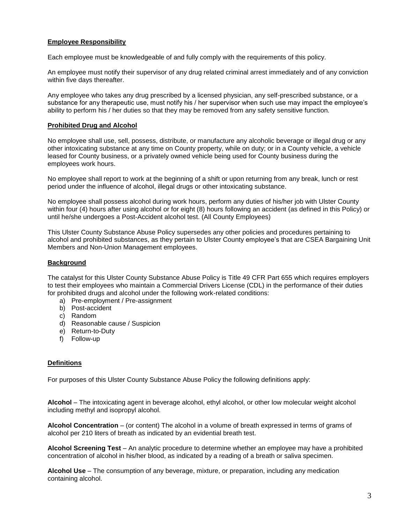#### **Employee Responsibility**

Each employee must be knowledgeable of and fully comply with the requirements of this policy.

An employee must notify their supervisor of any drug related criminal arrest immediately and of any conviction within five days thereafter.

Any employee who takes any drug prescribed by a licensed physician, any self-prescribed substance, or a substance for any therapeutic use, must notify his / her supervisor when such use may impact the employee's ability to perform his / her duties so that they may be removed from any safety sensitive function.

#### **Prohibited Drug and Alcohol**

No employee shall use, sell, possess, distribute, or manufacture any alcoholic beverage or illegal drug or any other intoxicating substance at any time on County property, while on duty; or in a County vehicle, a vehicle leased for County business, or a privately owned vehicle being used for County business during the employees work hours.

No employee shall report to work at the beginning of a shift or upon returning from any break, lunch or rest period under the influence of alcohol, illegal drugs or other intoxicating substance.

No employee shall possess alcohol during work hours, perform any duties of his/her job with Ulster County within four (4) hours after using alcohol or for eight (8) hours following an accident (as defined in this Policy) or until he/she undergoes a Post-Accident alcohol test. (All County Employees)

This Ulster County Substance Abuse Policy supersedes any other policies and procedures pertaining to alcohol and prohibited substances, as they pertain to Ulster County employee's that are CSEA Bargaining Unit Members and Non-Union Management employees.

#### **Background**

The catalyst for this Ulster County Substance Abuse Policy is Title 49 CFR Part 655 which requires employers to test their employees who maintain a Commercial Drivers License (CDL) in the performance of their duties for prohibited drugs and alcohol under the following work-related conditions:

- a) Pre-employment / Pre-assignment
- b) Post-accident
- c) Random
- d) Reasonable cause / Suspicion
- e) Return-to-Duty
- f) Follow-up

#### **Definitions**

For purposes of this Ulster County Substance Abuse Policy the following definitions apply:

**Alcohol** – The intoxicating agent in beverage alcohol, ethyl alcohol, or other low molecular weight alcohol including methyl and isopropyl alcohol.

**Alcohol Concentration** – (or content) The alcohol in a volume of breath expressed in terms of grams of alcohol per 210 liters of breath as indicated by an evidential breath test.

**Alcohol Screening Test** – An analytic procedure to determine whether an employee may have a prohibited concentration of alcohol in his/her blood, as indicated by a reading of a breath or saliva specimen.

**Alcohol Use** – The consumption of any beverage, mixture, or preparation, including any medication containing alcohol.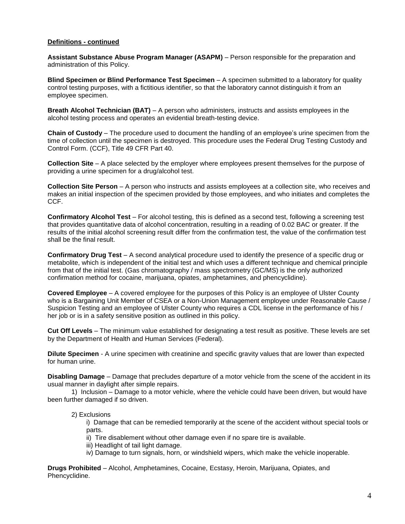#### **Definitions - continued**

**Assistant Substance Abuse Program Manager (ASAPM)** – Person responsible for the preparation and administration of this Policy.

**Blind Specimen or Blind Performance Test Specimen** – A specimen submitted to a laboratory for quality control testing purposes, with a fictitious identifier, so that the laboratory cannot distinguish it from an employee specimen.

**Breath Alcohol Technician (BAT)** – A person who administers, instructs and assists employees in the alcohol testing process and operates an evidential breath-testing device.

**Chain of Custody** – The procedure used to document the handling of an employee's urine specimen from the time of collection until the specimen is destroyed. This procedure uses the Federal Drug Testing Custody and Control Form. (CCF), Title 49 CFR Part 40.

**Collection Site** – A place selected by the employer where employees present themselves for the purpose of providing a urine specimen for a drug/alcohol test.

**Collection Site Person** – A person who instructs and assists employees at a collection site, who receives and makes an initial inspection of the specimen provided by those employees, and who initiates and completes the CCF.

**Confirmatory Alcohol Test** – For alcohol testing, this is defined as a second test, following a screening test that provides quantitative data of alcohol concentration, resulting in a reading of 0.02 BAC or greater. If the results of the initial alcohol screening result differ from the confirmation test, the value of the confirmation test shall be the final result.

**Confirmatory Drug Test** – A second analytical procedure used to identify the presence of a specific drug or metabolite, which is independent of the initial test and which uses a different technique and chemical principle from that of the initial test. (Gas chromatography / mass spectrometry (GC/MS) is the only authorized confirmation method for cocaine, marijuana, opiates, amphetamines, and phencyclidine).

**Covered Employee** – A covered employee for the purposes of this Policy is an employee of Ulster County who is a Bargaining Unit Member of CSEA or a Non-Union Management employee under Reasonable Cause / Suspicion Testing and an employee of Ulster County who requires a CDL license in the performance of his / her job or is in a safety sensitive position as outlined in this policy.

**Cut Off Levels** – The minimum value established for designating a test result as positive. These levels are set by the Department of Health and Human Services (Federal).

**Dilute Specimen** - A urine specimen with creatinine and specific gravity values that are lower than expected for human urine.

**Disabling Damage** – Damage that precludes departure of a motor vehicle from the scene of the accident in its usual manner in daylight after simple repairs.

1) Inclusion – Damage to a motor vehicle, where the vehicle could have been driven, but would have been further damaged if so driven.

#### 2) Exclusions

i) Damage that can be remedied temporarily at the scene of the accident without special tools or parts.

ii) Tire disablement without other damage even if no spare tire is available.

- iii) Headlight of tail light damage.
- iv) Damage to turn signals, horn, or windshield wipers, which make the vehicle inoperable.

**Drugs Prohibited** – Alcohol, Amphetamines, Cocaine, Ecstasy, Heroin, Marijuana, Opiates, and Phencyclidine.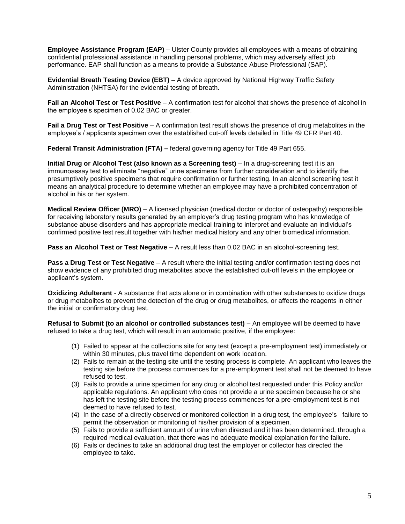**Employee Assistance Program (EAP)** – Ulster County provides all employees with a means of obtaining confidential professional assistance in handling personal problems, which may adversely affect job performance. EAP shall function as a means to provide a Substance Abuse Professional (SAP).

**Evidential Breath Testing Device (EBT)** – A device approved by National Highway Traffic Safety Administration (NHTSA) for the evidential testing of breath.

**Fail an Alcohol Test or Test Positive** – A confirmation test for alcohol that shows the presence of alcohol in the employee's specimen of 0.02 BAC or greater.

**Fail a Drug Test or Test Positive** – A confirmation test result shows the presence of drug metabolites in the employee's / applicants specimen over the established cut-off levels detailed in Title 49 CFR Part 40.

**Federal Transit Administration (FTA) –** federal governing agency for Title 49 Part 655.

**Initial Drug or Alcohol Test (also known as a Screening test)** – In a drug-screening test it is an immunoassay test to eliminate "negative" urine specimens from further consideration and to identify the presumptively positive specimens that require confirmation or further testing. In an alcohol screening test it means an analytical procedure to determine whether an employee may have a prohibited concentration of alcohol in his or her system.

**Medical Review Officer (MRO)** – A licensed physician (medical doctor or doctor of osteopathy) responsible for receiving laboratory results generated by an employer's drug testing program who has knowledge of substance abuse disorders and has appropriate medical training to interpret and evaluate an individual's confirmed positive test result together with his/her medical history and any other biomedical information.

**Pass an Alcohol Test or Test Negative** – A result less than 0.02 BAC in an alcohol-screening test.

**Pass a Drug Test or Test Negative** – A result where the initial testing and/or confirmation testing does not show evidence of any prohibited drug metabolites above the established cut-off levels in the employee or applicant's system.

**Oxidizing Adulterant** - A substance that acts alone or in combination with other substances to oxidize drugs or drug metabolites to prevent the detection of the drug or drug metabolites, or affects the reagents in either the initial or confirmatory drug test.

**Refusal to Submit (to an alcohol or controlled substances test) – An employee will be deemed to have** refused to take a drug test, which will result in an automatic positive, if the employee:

- (1) Failed to appear at the collections site for any test (except a pre-employment test) immediately or within 30 minutes, plus travel time dependent on work location.
- (2) Fails to remain at the testing site until the testing process is complete. An applicant who leaves the testing site before the process commences for a pre-employment test shall not be deemed to have refused to test.
- (3) Fails to provide a urine specimen for any drug or alcohol test requested under this Policy and/or applicable regulations. An applicant who does not provide a urine specimen because he or she has left the testing site before the testing process commences for a pre-employment test is not deemed to have refused to test.
- (4) In the case of a directly observed or monitored collection in a drug test, the employee's failure to permit the observation or monitoring of his/her provision of a specimen.
- (5) Fails to provide a sufficient amount of urine when directed and it has been determined, through a required medical evaluation, that there was no adequate medical explanation for the failure.
- (6) Fails or declines to take an additional drug test the employer or collector has directed the employee to take.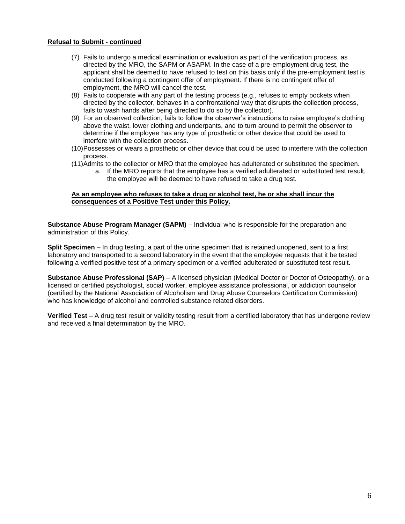#### **Refusal to Submit - continued**

- (7) Fails to undergo a medical examination or evaluation as part of the verification process, as directed by the MRO, the SAPM or ASAPM. In the case of a pre-employment drug test, the applicant shall be deemed to have refused to test on this basis only if the pre-employment test is conducted following a contingent offer of employment. If there is no contingent offer of employment, the MRO will cancel the test.
- (8) Fails to cooperate with any part of the testing process (e.g., refuses to empty pockets when directed by the collector, behaves in a confrontational way that disrupts the collection process, fails to wash hands after being directed to do so by the collector).
- (9) For an observed collection, fails to follow the observer's instructions to raise employee's clothing above the waist, lower clothing and underpants, and to turn around to permit the observer to determine if the employee has any type of prosthetic or other device that could be used to interfere with the collection process.
- (10)Possesses or wears a prosthetic or other device that could be used to interfere with the collection process.
- (11)Admits to the collector or MRO that the employee has adulterated or substituted the specimen.
	- a. If the MRO reports that the employee has a verified adulterated or substituted test result, the employee will be deemed to have refused to take a drug test.

#### **As an employee who refuses to take a drug or alcohol test, he or she shall incur the consequences of a Positive Test under this Policy.**

**Substance Abuse Program Manager (SAPM)** – Individual who is responsible for the preparation and administration of this Policy.

**Split Specimen** – In drug testing, a part of the urine specimen that is retained unopened, sent to a first laboratory and transported to a second laboratory in the event that the employee requests that it be tested following a verified positive test of a primary specimen or a verified adulterated or substituted test result.

**Substance Abuse Professional (SAP)** – A licensed physician (Medical Doctor or Doctor of Osteopathy), or a licensed or certified psychologist, social worker, employee assistance professional, or addiction counselor (certified by the National Association of Alcoholism and Drug Abuse Counselors Certification Commission) who has knowledge of alcohol and controlled substance related disorders.

**Verified Test** – A drug test result or validity testing result from a certified laboratory that has undergone review and received a final determination by the MRO.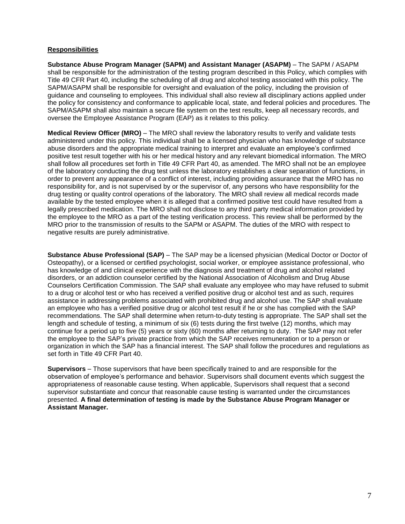#### **Responsibilities**

**Substance Abuse Program Manager (SAPM) and Assistant Manager (ASAPM)** – The SAPM / ASAPM shall be responsible for the administration of the testing program described in this Policy, which complies with Title 49 CFR Part 40, including the scheduling of all drug and alcohol testing associated with this policy. The SAPM/ASAPM shall be responsible for oversight and evaluation of the policy, including the provision of guidance and counseling to employees. This individual shall also review all disciplinary actions applied under the policy for consistency and conformance to applicable local, state, and federal policies and procedures. The SAPM/ASAPM shall also maintain a secure file system on the test results, keep all necessary records, and oversee the Employee Assistance Program (EAP) as it relates to this policy.

**Medical Review Officer (MRO)** – The MRO shall review the laboratory results to verify and validate tests administered under this policy. This individual shall be a licensed physician who has knowledge of substance abuse disorders and the appropriate medical training to interpret and evaluate an employee's confirmed positive test result together with his or her medical history and any relevant biomedical information. The MRO shall follow all procedures set forth in Title 49 CFR Part 40, as amended. The MRO shall not be an employee of the laboratory conducting the drug test unless the laboratory establishes a clear separation of functions, in order to prevent any appearance of a conflict of interest, including providing assurance that the MRO has no responsibility for, and is not supervised by or the supervisor of, any persons who have responsibility for the drug testing or quality control operations of the laboratory. The MRO shall review all medical records made available by the tested employee when it is alleged that a confirmed positive test could have resulted from a legally prescribed medication. The MRO shall not disclose to any third party medical information provided by the employee to the MRO as a part of the testing verification process. This review shall be performed by the MRO prior to the transmission of results to the SAPM or ASAPM. The duties of the MRO with respect to negative results are purely administrative.

**Substance Abuse Professional (SAP)** – The SAP may be a licensed physician (Medical Doctor or Doctor of Osteopathy), or a licensed or certified psychologist, social worker, or employee assistance professional, who has knowledge of and clinical experience with the diagnosis and treatment of drug and alcohol related disorders, or an addiction counselor certified by the National Association of Alcoholism and Drug Abuse Counselors Certification Commission. The SAP shall evaluate any employee who may have refused to submit to a drug or alcohol test or who has received a verified positive drug or alcohol test and as such, requires assistance in addressing problems associated with prohibited drug and alcohol use. The SAP shall evaluate an employee who has a verified positive drug or alcohol test result if he or she has complied with the SAP recommendations. The SAP shall determine when return-to-duty testing is appropriate. The SAP shall set the length and schedule of testing, a minimum of six (6) tests during the first twelve (12) months, which may continue for a period up to five (5) years or sixty (60) months after returning to duty. The SAP may not refer the employee to the SAP's private practice from which the SAP receives remuneration or to a person or organization in which the SAP has a financial interest. The SAP shall follow the procedures and regulations as set forth in Title 49 CFR Part 40.

**Supervisors** – Those supervisors that have been specifically trained to and are responsible for the observation of employee's performance and behavior. Supervisors shall document events which suggest the appropriateness of reasonable cause testing. When applicable, Supervisors shall request that a second supervisor substantiate and concur that reasonable cause testing is warranted under the circumstances presented. **A final determination of testing is made by the Substance Abuse Program Manager or Assistant Manager.**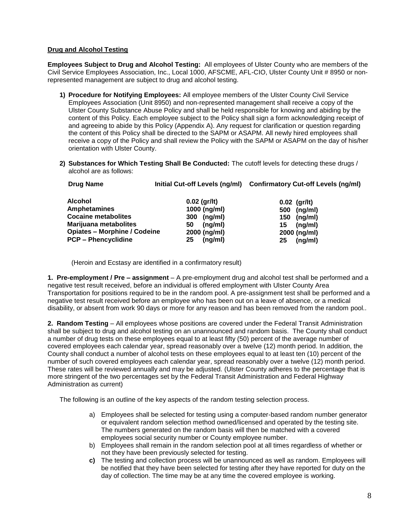#### **Drug and Alcohol Testing**

**Employees Subject to Drug and Alcohol Testing:** All employees of Ulster County who are members of the Civil Service Employees Association, Inc., Local 1000, AFSCME, AFL-CIO, Ulster County Unit # 8950 or nonrepresented management are subject to drug and alcohol testing.

- **1) Procedure for Notifying Employees:** All employee members of the Ulster County Civil Service Employees Association (Unit 8950) and non-represented management shall receive a copy of the Ulster County Substance Abuse Policy and shall be held responsible for knowing and abiding by the content of this Policy. Each employee subject to the Policy shall sign a form acknowledging receipt of and agreeing to abide by this Policy (Appendix A). Any request for clarification or question regarding the content of this Policy shall be directed to the SAPM or ASAPM. All newly hired employees shall receive a copy of the Policy and shall review the Policy with the SAPM or ASAPM on the day of his/her orientation with Ulster County.
- **2) Substances for Which Testing Shall Be Conducted:** The cutoff levels for detecting these drugs / alcohol are as follows:

| Drug Name                           |                | Initial Cut-off Levels (ng/ml) Confirmatory Cut-off Levels (ng/ml) |  |
|-------------------------------------|----------------|--------------------------------------------------------------------|--|
| <b>Alcohol</b>                      | $0.02$ (gr/lt) | $0.02$ (gr/lt)                                                     |  |
| <b>Amphetamines</b>                 | 1000 (ng/ml)   | (ng/ml)<br>500                                                     |  |
| <b>Cocaine metabolites</b>          | (ng/ml)<br>300 | (ng/ml)<br>150                                                     |  |
| Marijuana metabolites               | (ng/ml)<br>50  | (ng/ml)<br>15                                                      |  |
| <b>Opiates - Morphine / Codeine</b> | 2000 (ng/ml)   | 2000 (ng/ml)                                                       |  |
| <b>PCP - Phencyclidine</b>          | (ng/ml)<br>25  | (ng/ml)<br>25                                                      |  |

(Heroin and Ecstasy are identified in a confirmatory result)

**1. Pre-employment / Pre – assignment** – A pre-employment drug and alcohol test shall be performed and a negative test result received, before an individual is offered employment with Ulster County Area Transportation for positions required to be in the random pool. A pre-assignment test shall be performed and a negative test result received before an employee who has been out on a leave of absence, or a medical disability, or absent from work 90 days or more for any reason and has been removed from the random pool..

**2. Random Testing** – All employees whose positions are covered under the Federal Transit Administration shall be subject to drug and alcohol testing on an unannounced and random basis. The County shall conduct a number of drug tests on these employees equal to at least fifty (50) percent of the average number of covered employees each calendar year, spread reasonably over a twelve (12) month period. In addition, the County shall conduct a number of alcohol tests on these employees equal to at least ten (10) percent of the number of such covered employees each calendar year, spread reasonably over a twelve (12) month period. These rates will be reviewed annually and may be adjusted. (Ulster County adheres to the percentage that is more stringent of the two percentages set by the Federal Transit Administration and Federal Highway Administration as current)

The following is an outline of the key aspects of the random testing selection process.

- a) Employees shall be selected for testing using a computer-based random number generator or equivalent random selection method owned/licensed and operated by the testing site. The numbers generated on the random basis will then be matched with a covered employees social security number or County employee number.
- b) Employees shall remain in the random selection pool at all times regardless of whether or not they have been previously selected for testing.
- **c)** The testing and collection process will be unannounced as well as random. Employees will be notified that they have been selected for testing after they have reported for duty on the day of collection. The time may be at any time the covered employee is working.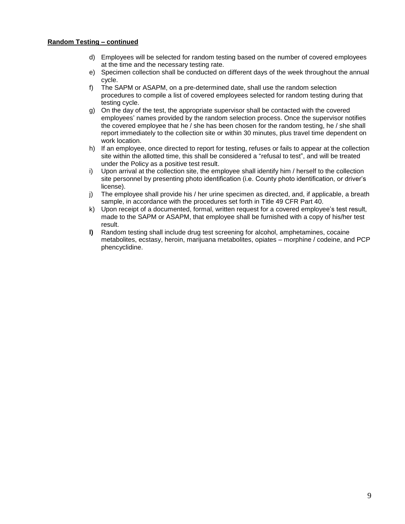- d) Employees will be selected for random testing based on the number of covered employees at the time and the necessary testing rate.
- e) Specimen collection shall be conducted on different days of the week throughout the annual cycle.
- f) The SAPM or ASAPM, on a pre-determined date, shall use the random selection procedures to compile a list of covered employees selected for random testing during that testing cycle.
- g) On the day of the test, the appropriate supervisor shall be contacted with the covered employees' names provided by the random selection process. Once the supervisor notifies the covered employee that he / she has been chosen for the random testing, he / she shall report immediately to the collection site or within 30 minutes, plus travel time dependent on work location.
- h) If an employee, once directed to report for testing, refuses or fails to appear at the collection site within the allotted time, this shall be considered a "refusal to test", and will be treated under the Policy as a positive test result.
- i) Upon arrival at the collection site, the employee shall identify him / herself to the collection site personnel by presenting photo identification (i.e. County photo identification, or driver's license).
- j) The employee shall provide his / her urine specimen as directed, and, if applicable, a breath sample, in accordance with the procedures set forth in Title 49 CFR Part 40.
- k) Upon receipt of a documented, formal, written request for a covered employee's test result, made to the SAPM or ASAPM, that employee shall be furnished with a copy of his/her test result.
- **l)** Random testing shall include drug test screening for alcohol, amphetamines, cocaine metabolites, ecstasy, heroin, marijuana metabolites, opiates – morphine / codeine, and PCP phencyclidine.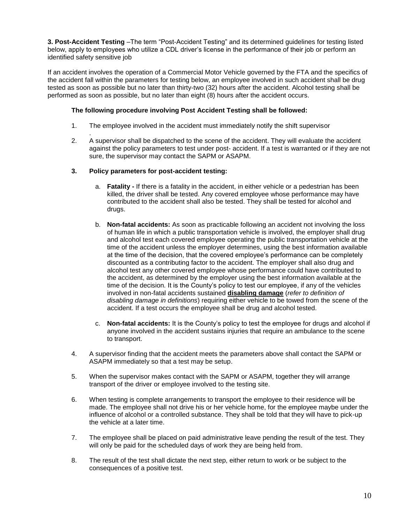**3. Post-Accident Testing** –The term "Post-Accident Testing" and its determined guidelines for testing listed below, apply to employees who utilize a CDL driver's license in the performance of their job or perform an identified safety sensitive job

If an accident involves the operation of a Commercial Motor Vehicle governed by the FTA and the specifics of the accident fall within the parameters for testing below, an employee involved in such accident shall be drug tested as soon as possible but no later than thirty-two (32) hours after the accident. Alcohol testing shall be performed as soon as possible, but no later than eight (8) hours after the accident occurs.

#### **The following procedure involving Post Accident Testing shall be followed:**

- 1. The employee involved in the accident must immediately notify the shift supervisor
- . 2. A supervisor shall be dispatched to the scene of the accident. They will evaluate the accident against the policy parameters to test under post- accident. If a test is warranted or if they are not sure, the supervisor may contact the SAPM or ASAPM.

#### **3. Policy parameters for post-accident testing:**

- a. **Fatality -** If there is a fatality in the accident, in either vehicle or a pedestrian has been killed, the driver shall be tested. Any covered employee whose performance may have contributed to the accident shall also be tested. They shall be tested for alcohol and drugs.
- b. **Non-fatal accidents:** As soon as practicable following an accident not involving the loss of human life in which a public transportation vehicle is involved, the employer shall drug and alcohol test each covered employee operating the public transportation vehicle at the time of the accident unless the employer determines, using the best information available at the time of the decision, that the covered employee's performance can be completely discounted as a contributing factor to the accident. The employer shall also drug and alcohol test any other covered employee whose performance could have contributed to the accident, as determined by the employer using the best information available at the time of the decision. It is the County's policy to test our employee, if any of the vehicles involved in non-fatal accidents sustained **disabling damage** (*refer to definition of disabling damage in definitions*) requiring either vehicle to be towed from the scene of the accident. If a test occurs the employee shall be drug and alcohol tested.
- c. **Non-fatal accidents:** It is the County's policy to test the employee for drugs and alcohol if anyone involved in the accident sustains injuries that require an ambulance to the scene to transport.
- 4. A supervisor finding that the accident meets the parameters above shall contact the SAPM or ASAPM immediately so that a test may be setup.
- 5. When the supervisor makes contact with the SAPM or ASAPM, together they will arrange transport of the driver or employee involved to the testing site.
- 6. When testing is complete arrangements to transport the employee to their residence will be made. The employee shall not drive his or her vehicle home, for the employee maybe under the influence of alcohol or a controlled substance. They shall be told that they will have to pick-up the vehicle at a later time.
- 7. The employee shall be placed on paid administrative leave pending the result of the test. They will only be paid for the scheduled days of work they are being held from.
- 8. The result of the test shall dictate the next step, either return to work or be subject to the consequences of a positive test.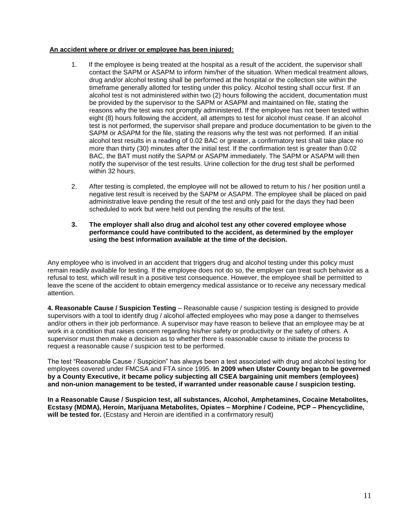#### **An accident where or driver or employee has been injured:**

- 1. If the employee is being treated at the hospital as a result of the accident, the supervisor shall contact the SAPM or ASAPM to inform him/her of the situation. When medical treatment allows, drug and/or alcohol testing shall be performed at the hospital or the collection site within the timeframe generally allotted for testing under this policy. Alcohol testing shall occur first. If an alcohol test is not administered within two (2) hours following the accident, documentation must be provided by the supervisor to the SAPM or ASAPM and maintained on file, stating the reasons why the test was not promptly administered. If the employee has not been tested within eight (8) hours following the accident, all attempts to test for alcohol must cease. If an alcohol test is not performed, the supervisor shall prepare and produce documentation to be given to the SAPM or ASAPM for the file, stating the reasons why the test was not performed. If an initial alcohol test results in a reading of 0.02 BAC or greater, a confirmatory test shall take place no more than thirty (30) minutes after the initial test. If the confirmation test is greater than 0.02 BAC, the BAT must notify the SAPM or ASAPM immediately. The SAPM or ASAPM will then notify the supervisor of the test results. Urine collection for the drug test shall be performed within 32 hours.
- 2. After testing is completed, the employee will not be allowed to return to his / her position until a negative test result is received by the SAPM or ASAPM. The employee shall be placed on paid administrative leave pending the result of the test and only paid for the days they had been scheduled to work but were held out pending the results of the test.
- **3. The employer shall also drug and alcohol test any other covered employee whose performance could have contributed to the accident, as determined by the employer using the best information available at the time of the decision.**

Any employee who is involved in an accident that triggers drug and alcohol testing under this policy must remain readily available for testing. If the employee does not do so, the employer can treat such behavior as a refusal to test, which will result in a positive test consequence. However, the employee shall be permitted to leave the scene of the accident to obtain emergency medical assistance or to receive any necessary medical attention.

**4. Reasonable Cause / Suspicion Testing** – Reasonable cause / suspicion testing is designed to provide supervisors with a tool to identify drug / alcohol affected employees who may pose a danger to themselves and/or others in their job performance. A supervisor may have reason to believe that an employee may be at work in a condition that raises concern regarding his/her safety or productivity or the safety of others. A supervisor must then make a decision as to whether there is reasonable cause to initiate the process to request a reasonable cause / suspicion test to be performed.

The test "Reasonable Cause / Suspicion" has always been a test associated with drug and alcohol testing for employees covered under FMCSA and FTA since 1995. **In 2009 when Ulster County began to be governed by a County Executive, it became policy subjecting all CSEA bargaining unit members (employees) and non-union management to be tested, if warranted under reasonable cause / suspicion testing.**

**In a Reasonable Cause / Suspicion test, all substances, Alcohol, Amphetamines, Cocaine Metabolites, Ecstasy (MDMA), Heroin, Marijuana Metabolites, Opiates – Morphine / Codeine, PCP – Phencyclidine, will be tested for.** (Ecstasy and Heroin are identified in a confirmatory result)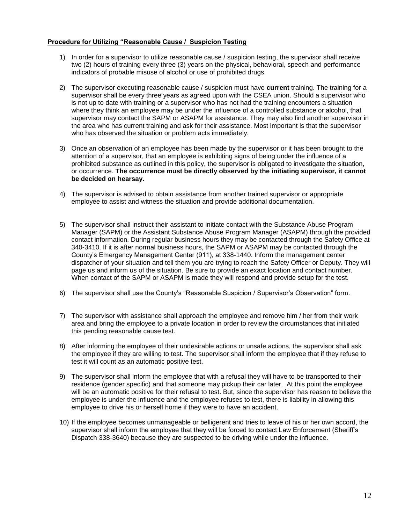#### **Procedure for Utilizing "Reasonable Cause / Suspicion Testing**

- 1) In order for a supervisor to utilize reasonable cause / suspicion testing, the supervisor shall receive two (2) hours of training every three (3) years on the physical, behavioral, speech and performance indicators of probable misuse of alcohol or use of prohibited drugs.
- 2) The supervisor executing reasonable cause / suspicion must have **current** training. The training for a supervisor shall be every three years as agreed upon with the CSEA union. Should a supervisor who is not up to date with training or a supervisor who has not had the training encounters a situation where they think an employee may be under the influence of a controlled substance or alcohol, that supervisor may contact the SAPM or ASAPM for assistance. They may also find another supervisor in the area who has current training and ask for their assistance. Most important is that the supervisor who has observed the situation or problem acts immediately.
- 3) Once an observation of an employee has been made by the supervisor or it has been brought to the attention of a supervisor, that an employee is exhibiting signs of being under the influence of a prohibited substance as outlined in this policy, the supervisor is obligated to investigate the situation, or occurrence. **The occurrence must be directly observed by the initiating supervisor, it cannot be decided on hearsay.**
- 4) The supervisor is advised to obtain assistance from another trained supervisor or appropriate employee to assist and witness the situation and provide additional documentation.
- 5) The supervisor shall instruct their assistant to initiate contact with the Substance Abuse Program Manager (SAPM) or the Assistant Substance Abuse Program Manager (ASAPM) through the provided contact information. During regular business hours they may be contacted through the Safety Office at 340-3410. If it is after normal business hours, the SAPM or ASAPM may be contacted through the County's Emergency Management Center (911), at 338-1440. Inform the management center dispatcher of your situation and tell them you are trying to reach the Safety Officer or Deputy. They will page us and inform us of the situation. Be sure to provide an exact location and contact number. When contact of the SAPM or ASAPM is made they will respond and provide setup for the test.
- 6) The supervisor shall use the County's "Reasonable Suspicion / Supervisor's Observation" form.
- 7) The supervisor with assistance shall approach the employee and remove him / her from their work area and bring the employee to a private location in order to review the circumstances that initiated this pending reasonable cause test.
- 8) After informing the employee of their undesirable actions or unsafe actions, the supervisor shall ask the employee if they are willing to test. The supervisor shall inform the employee that if they refuse to test it will count as an automatic positive test.
- 9) The supervisor shall inform the employee that with a refusal they will have to be transported to their residence (gender specific) and that someone may pickup their car later. At this point the employee will be an automatic positive for their refusal to test. But, since the supervisor has reason to believe the employee is under the influence and the employee refuses to test, there is liability in allowing this employee to drive his or herself home if they were to have an accident.
- 10) If the employee becomes unmanageable or belligerent and tries to leave of his or her own accord, the supervisor shall inform the employee that they will be forced to contact Law Enforcement (Sheriff's Dispatch 338-3640) because they are suspected to be driving while under the influence.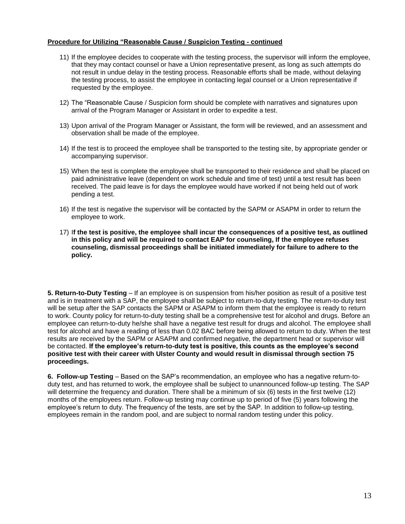#### **Procedure for Utilizing "Reasonable Cause / Suspicion Testing - continued**

- 11) If the employee decides to cooperate with the testing process, the supervisor will inform the employee, that they may contact counsel or have a Union representative present, as long as such attempts do not result in undue delay in the testing process. Reasonable efforts shall be made, without delaying the testing process, to assist the employee in contacting legal counsel or a Union representative if requested by the employee.
- 12) The "Reasonable Cause / Suspicion form should be complete with narratives and signatures upon arrival of the Program Manager or Assistant in order to expedite a test.
- 13) Upon arrival of the Program Manager or Assistant, the form will be reviewed, and an assessment and observation shall be made of the employee.
- 14) If the test is to proceed the employee shall be transported to the testing site, by appropriate gender or accompanying supervisor.
- 15) When the test is complete the employee shall be transported to their residence and shall be placed on paid administrative leave (dependent on work schedule and time of test) until a test result has been received. The paid leave is for days the employee would have worked if not being held out of work pending a test.
- 16) If the test is negative the supervisor will be contacted by the SAPM or ASAPM in order to return the employee to work.
- 17) I**f the test is positive, the employee shall incur the consequences of a positive test, as outlined in this policy and will be required to contact EAP for counseling, If the employee refuses counseling, dismissal proceedings shall be initiated immediately for failure to adhere to the policy.**

**5. Return-to-Duty Testing** – If an employee is on suspension from his/her position as result of a positive test and is in treatment with a SAP, the employee shall be subject to return-to-duty testing. The return-to-duty test will be setup after the SAP contacts the SAPM or ASAPM to inform them that the employee is ready to return to work. County policy for return-to-duty testing shall be a comprehensive test for alcohol and drugs. Before an employee can return-to-duty he/she shall have a negative test result for drugs and alcohol. The employee shall test for alcohol and have a reading of less than 0.02 BAC before being allowed to return to duty. When the test results are received by the SAPM or ASAPM and confirmed negative, the department head or supervisor will be contacted. **If the employee's return-to-duty test is positive, this counts as the employee's second positive test with their career with Ulster County and would result in dismissal through section 75 proceedings.** 

**6. Follow-up Testing** – Based on the SAP's recommendation, an employee who has a negative return-toduty test, and has returned to work, the employee shall be subject to unannounced follow-up testing. The SAP will determine the frequency and duration. There shall be a minimum of six (6) tests in the first twelve (12) months of the employees return. Follow-up testing may continue up to period of five (5) years following the employee's return to duty. The frequency of the tests, are set by the SAP. In addition to follow-up testing, employees remain in the random pool, and are subject to normal random testing under this policy.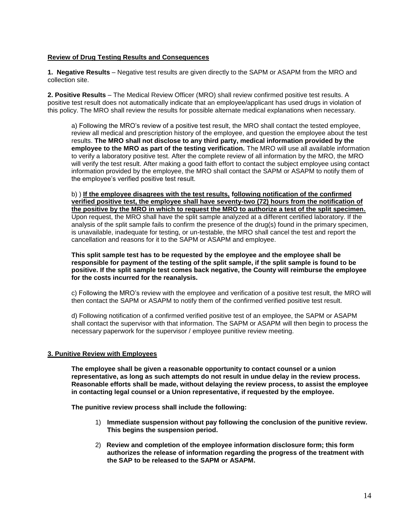#### **Review of Drug Testing Results and Consequences**

**1. Negative Results** – Negative test results are given directly to the SAPM or ASAPM from the MRO and collection site.

**2. Positive Results** – The Medical Review Officer (MRO) shall review confirmed positive test results. A positive test result does not automatically indicate that an employee/applicant has used drugs in violation of this policy. The MRO shall review the results for possible alternate medical explanations when necessary.

a) Following the MRO's review of a positive test result, the MRO shall contact the tested employee, review all medical and prescription history of the employee, and question the employee about the test results. **The MRO shall not disclose to any third party, medical information provided by the employee to the MRO as part of the testing verification.** The MRO will use all available information to verify a laboratory positive test. After the complete review of all information by the MRO, the MRO will verify the test result. After making a good faith effort to contact the subject employee using contact information provided by the employee, the MRO shall contact the SAPM or ASAPM to notify them of the employee's verified positive test result.

b) ) **If the employee disagrees with the test results, following notification of the confirmed verified positive test, the employee shall have seventy-two (72) hours from the notification of the positive by the MRO in which to request the MRO to authorize a test of the split specimen.** Upon request, the MRO shall have the split sample analyzed at a different certified laboratory. If the analysis of the split sample fails to confirm the presence of the drug(s) found in the primary specimen, is unavailable, inadequate for testing, or un-testable, the MRO shall cancel the test and report the cancellation and reasons for it to the SAPM or ASAPM and employee.

**This split sample test has to be requested by the employee and the employee shall be responsible for payment of the testing of the split sample, if the split sample is found to be positive. If the split sample test comes back negative, the County will reimburse the employee for the costs incurred for the reanalysis.**

c) Following the MRO's review with the employee and verification of a positive test result, the MRO will then contact the SAPM or ASAPM to notify them of the confirmed verified positive test result.

d) Following notification of a confirmed verified positive test of an employee, the SAPM or ASAPM shall contact the supervisor with that information. The SAPM or ASAPM will then begin to process the necessary paperwork for the supervisor / employee punitive review meeting.

#### **3. Punitive Review with Employees**

**The employee shall be given a reasonable opportunity to contact counsel or a union representative, as long as such attempts do not result in undue delay in the review process. Reasonable efforts shall be made, without delaying the review process, to assist the employee in contacting legal counsel or a Union representative, if requested by the employee.** 

**The punitive review process shall include the following:**

- 1) **Immediate suspension without pay following the conclusion of the punitive review. This begins the suspension period.**
- 2) **Review and completion of the employee information disclosure form; this form authorizes the release of information regarding the progress of the treatment with the SAP to be released to the SAPM or ASAPM.**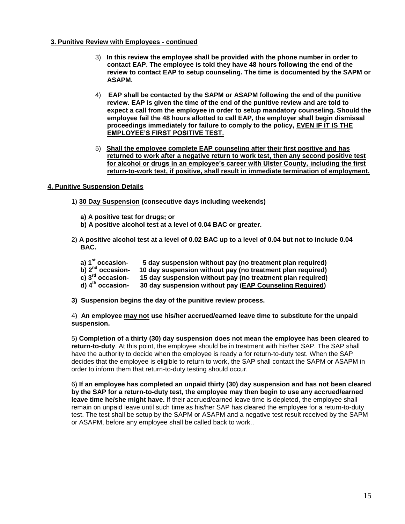#### **3. Punitive Review with Employees - continued**

- 3) **In this review the employee shall be provided with the phone number in order to contact EAP. The employee is told they have 48 hours following the end of the review to contact EAP to setup counseling. The time is documented by the SAPM or ASAPM.**
- 4) **EAP shall be contacted by the SAPM or ASAPM following the end of the punitive review. EAP is given the time of the end of the punitive review and are told to expect a call from the employee in order to setup mandatory counseling. Should the employee fail the 48 hours allotted to call EAP, the employer shall begin dismissal proceedings immediately for failure to comply to the policy, EVEN IF IT IS THE EMPLOYEE'S FIRST POSITIVE TEST.**
- 5) **Shall the employee complete EAP counseling after their first positive and has returned to work after a negative return to work test, then any second positive test for alcohol or drugs in an employee's career with Ulster County, including the first return-to-work test, if positive, shall result in immediate termination of employment.**

#### **4. Punitive Suspension Details**

- 1) **30 Day Suspension (consecutive days including weekends)**
	- **a) A positive test for drugs; or**
	- **b) A positive alcohol test at a level of 0.04 BAC or greater.**
- 2) **A positive alcohol test at a level of 0.02 BAC up to a level of 0.04 but not to include 0.04 BAC.**
	- **a) 1st occasion- 5 day suspension without pay (no treatment plan required)**
	- **b) 2nd occasion- 10 day suspension without pay (no treatment plan required)**
	- **c) 3rd occasion- 15 day suspension without pay (no treatment plan required)**
	- **30 day suspension without pay (EAP Counseling Required)**
- **3) Suspension begins the day of the punitive review process.**

4) **An employee may not use his/her accrued/earned leave time to substitute for the unpaid suspension.**

5) **Completion of a thirty (30) day suspension does not mean the employee has been cleared to return-to-duty**. At this point, the employee should be in treatment with his/her SAP. The SAP shall have the authority to decide when the employee is ready a for return-to-duty test. When the SAP decides that the employee is eligible to return to work, the SAP shall contact the SAPM or ASAPM in order to inform them that return-to-duty testing should occur.

6) **If an employee has completed an unpaid thirty (30) day suspension and has not been cleared by the SAP for a return-to-duty test, the employee may then begin to use any accrued/earned leave time he/she might have.** If their accrued/earned leave time is depleted, the employee shall remain on unpaid leave until such time as his/her SAP has cleared the employee for a return-to-duty test. The test shall be setup by the SAPM or ASAPM and a negative test result received by the SAPM or ASAPM, before any employee shall be called back to work..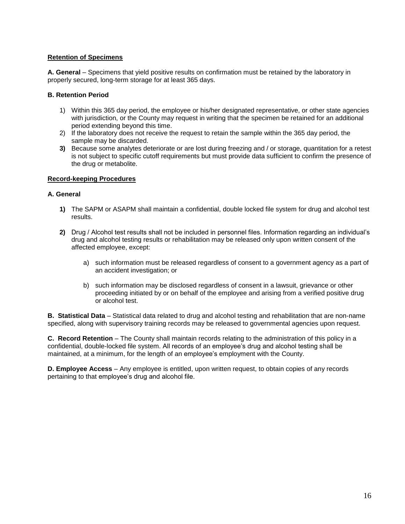#### **Retention of Specimens**

**A. General** – Specimens that yield positive results on confirmation must be retained by the laboratory in properly secured, long-term storage for at least 365 days.

#### **B. Retention Period**

- 1) Within this 365 day period, the employee or his/her designated representative, or other state agencies with jurisdiction, or the County may request in writing that the specimen be retained for an additional period extending beyond this time.
- 2) If the laboratory does not receive the request to retain the sample within the 365 day period, the sample may be discarded.
- **3)** Because some analytes deteriorate or are lost during freezing and / or storage, quantitation for a retest is not subject to specific cutoff requirements but must provide data sufficient to confirm the presence of the drug or metabolite.

#### **Record-keeping Procedures**

#### **A. General**

- **1)** The SAPM or ASAPM shall maintain a confidential, double locked file system for drug and alcohol test results.
- **2)** Drug / Alcohol test results shall not be included in personnel files. Information regarding an individual's drug and alcohol testing results or rehabilitation may be released only upon written consent of the affected employee, except:
	- a) such information must be released regardless of consent to a government agency as a part of an accident investigation; or
	- b) such information may be disclosed regardless of consent in a lawsuit, grievance or other proceeding initiated by or on behalf of the employee and arising from a verified positive drug or alcohol test.

**B. Statistical Data** – Statistical data related to drug and alcohol testing and rehabilitation that are non-name specified, along with supervisory training records may be released to governmental agencies upon request.

**C. Record Retention** – The County shall maintain records relating to the administration of this policy in a confidential, double-locked file system. All records of an employee's drug and alcohol testing shall be maintained, at a minimum, for the length of an employee's employment with the County.

**D. Employee Access** – Any employee is entitled, upon written request, to obtain copies of any records pertaining to that employee's drug and alcohol file.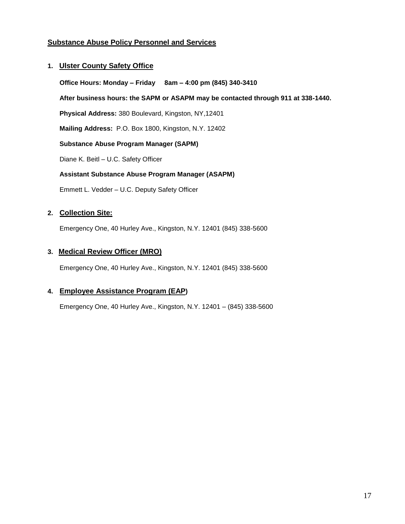## **Substance Abuse Policy Personnel and Services**

#### **1. Ulster County Safety Office**

**Office Hours: Monday – Friday 8am – 4:00 pm (845) 340-3410 After business hours: the SAPM or ASAPM may be contacted through 911 at 338-1440. Physical Address:** 380 Boulevard, Kingston, NY,12401 **Mailing Address:** P.O. Box 1800, Kingston, N.Y. 12402 **Substance Abuse Program Manager (SAPM)** Diane K. Beitl – U.C. Safety Officer **Assistant Substance Abuse Program Manager (ASAPM)**

Emmett L. Vedder – U.C. Deputy Safety Officer

### **2. Collection Site:**

Emergency One, 40 Hurley Ave., Kingston, N.Y. 12401 (845) 338-5600

#### **3. Medical Review Officer (MRO)**

Emergency One, 40 Hurley Ave., Kingston, N.Y. 12401 (845) 338-5600

#### **4. Employee Assistance Program (EAP)**

Emergency One, 40 Hurley Ave., Kingston, N.Y. 12401 – (845) 338-5600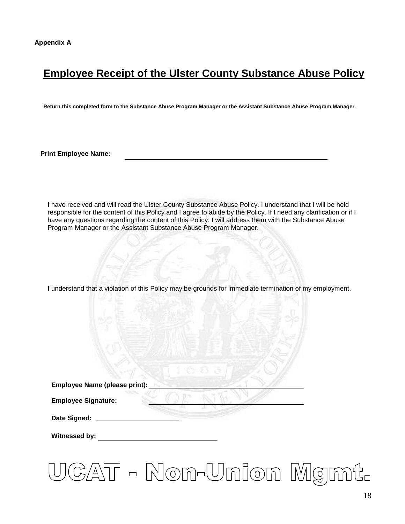# **Employee Receipt of the Ulster County Substance Abuse Policy**

**Return this completed form to the Substance Abuse Program Manager or the Assistant Substance Abuse Program Manager.**

**Print Employee Name:**

I have received and will read the Ulster County Substance Abuse Policy. I understand that I will be held responsible for the content of this Policy and I agree to abide by the Policy. If I need any clarification or if I have any questions regarding the content of this Policy, I will address them with the Substance Abuse Program Manager or the Assistant Substance Abuse Program Manager.

I understand that a violation of this Policy may be grounds for immediate termination of my employment.

| Employee Name (please print): |  |  |
|-------------------------------|--|--|
|                               |  |  |

**Employee Signature:**

**Date Signed:**

**Witnessed by:**

# CAT - Non-Union Mgmt.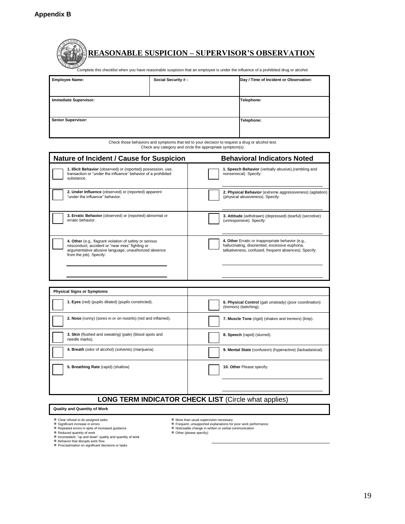**STEP** 

| <b>Social Security #:</b><br>Emplovee Name:                                                                                                                                                   | Day / Time of Incident or Observation: |
|-----------------------------------------------------------------------------------------------------------------------------------------------------------------------------------------------|----------------------------------------|
| <b>REASONABLE SUSPICION – SUPERVISOR'S OBSERVATION</b><br>Complete this checklist when you have reasonable suspicion that an employee is under the influence of a prohibited drug or alcohol. |                                        |
|                                                                                                                                                                                               |                                        |

| Employee Name:               | Social Security #: | Day / Time or incluent or Observation: |
|------------------------------|--------------------|----------------------------------------|
| <b>Immediate Supervisor:</b> |                    | Telephone:                             |
| Senior Supervisor:           |                    | Telephone:                             |
|                              |                    |                                        |

Check those behaviors and symptoms that led to your decision to request a drug or alcohol test. Check any category and circle the appropriate symptom(s).

| <b>Nature of Incident / Cause for Suspicion</b>                                                                                                                                               | <b>Behavioral Indicators Noted</b>                                                                                                                            |  |  |
|-----------------------------------------------------------------------------------------------------------------------------------------------------------------------------------------------|---------------------------------------------------------------------------------------------------------------------------------------------------------------|--|--|
| 1. Illicit Behavior (observed) or (reported) possession, use,<br>transaction or "under the influence" behavior of a prohibited<br>substance.                                                  | 1. Speech Behavior (verbally abusive), (rambling and<br>nonsensical). Specify:                                                                                |  |  |
| 2. Under Influence (observed) or (reported) apparent<br>"under the influence" behavior.                                                                                                       | 2. Physical Behavior (extreme aggressiveness) (agitation)<br>(physical abusiveness). Specify:                                                                 |  |  |
| 3. Erratic Behavior (observed) or (reported) abnormal or<br>erratic behavior.                                                                                                                 | 3. Attitude (withdrawn) (depressed) (tearful) (secretive)<br>(unresponsive). Specify:                                                                         |  |  |
| 4. Other (e.g., flagrant violation of safety or serious<br>misconduct, accident or "near miss" fighting or<br>argumentative abusive language, unauthorized absence<br>from the job). Specify: | 4. Other Erratic or inappropriate behavior (e.g.,<br>hallucinating, disoriented, excessive euphoria,<br>talkativeness, confused, frequent absences). Specify: |  |  |

| <b>Physical Signs or Symptoms</b>                                        |                                                                                   |  |
|--------------------------------------------------------------------------|-----------------------------------------------------------------------------------|--|
| 1. Eyes (red) (pupils dilated) (pupils constricted).                     | 6. Physical Control (gait unsteady) (poor coordination)<br>(tremors) (twitching). |  |
| 2. Nose (runny) (sores in or on nostrils) (red and inflamed).            | 7. Muscle Tone (rigid) (shakes and tremors) (limp).                               |  |
| 3. Skin (flushed and sweating) (pale) (blood spots and<br>needle marks). | 8. Speech (rapid) (slurred).                                                      |  |
| 4. Breath (odor of alcohol) (solvents) (marijuana).                      | 9. Mental State (confusion) (hyperactive) (lackadaisical).                        |  |
| 5. Breathing Rate (rapid) (shallow)                                      | 10. Other Please specify:                                                         |  |
| <b>ONC TEDM INDICATOR CHECK LIGT</b> (Circle what applica)               |                                                                                   |  |

#### **LONG TERM INDICATOR CHECK LIST** (Circle what applies)

#### **Quality and Quantity of Work**

- 
- 
- 

- 孝 Clear refusal to do assigned tasks<br>\* Significant increase in errors<br>\* Repeated errors in spite of increased guidance<br>\* Reduced quantity of work<br>\* Inconsistent, "up and down" quality and quantity of work<br>\* Pehavior that
- More than usual supervision necessary
- Frequent, unsupported explanations for poor work performance Noticeable change in written or verbal communication Other (please specify):
- 
-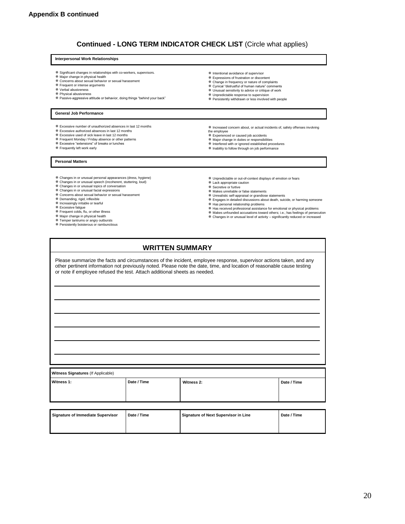#### **Continued - LONG TERM INDICATOR CHECK LIST** (Circle what applies)

#### **Interpersonal Work Relationships**

- Significant changes in relationships with co-workers, supervisors. Major change in physical health
- 
- Concerns about sexual behavior or sexual harassment
- Frequent or intense arguments Verbal abusiveness
- 
- Physical abusiveness Passive-aggressive attitude or behavior, doing things "behind your back"

#### **General Job Performance**

- Excessive number of unauthorized absences in last 12 months
- Excessive authorized absences in last 12 months
- Excessive used of sick leave in last 12 months Frequent Monday / Friday absence or other patterns Excessive "extensions" of breaks or lunches
- 
- Frequently left work early
- 
- Increased concern about, or actual incidents of, safety offenses involving
- the employee

**※ Intentional avoidance of supervisor**  Expressions of frustration or discontent Change in frequency or nature of complaints Cynical "distrustful of human nature" comments Unusual sensitivity to advice or critique of work Unpredictable response to supervision Persistently withdrawn or less involved with people

- 
- 
- 

- **Personal Matters**
- Changes in or unusual personal appearances (dress, hygiene) Changes in or unusual speech (incoherent, stuttering, loud)
- 
- Changes in or unusual topics of conversation Changes in or unusual facial expressions
- Concerns about sexual behavior or sexual harassment
- Demanding, rigid, inflexible Increasingly irritable or tearful
- 
- Excessive fatigue Frequent colds, flu, or other illness
- 
- 
- Major change in physical health Temper tantrums or angry outbursts Persistently boisterous or rambunctious
- Experienced or caused job accidents Major change in duties or responsibilities
- Interfered with or ignored established procedures Inability to follow through on job performance
- Unpredictable or out-of-context displays of emotion or fears
- 
- Makes unreliable or false statements
- Unrealistic self-appraisal or grandiose statements
- Engages in detailed discussions about death, suicide, or harming someone
- 
- <sup>举</sup> Has personal relationship problems<br>举 Has received professional assistance for emotional or physical problems
- Makes unfounded accusations toward others; i.e.; has feelings of persecution \* mance amounted acceduring to factivity – significantly reduced or increased ★ Changes in or unusual level of activity – significantly reduced or increased
- 
- **WRITTEN SUMMARY**

Please summarize the facts and circumstances of the incident, employee response, supervisor actions taken, and any other pertinent information not previously noted. Please note the date, time, and location of reasonable cause testing or note if employee refused the test. Attach additional sheets as needed.

| Witness Signatures (If Applicable) |             |            |             |
|------------------------------------|-------------|------------|-------------|
| Witness 1:                         | Date / Time | Witness 2: | Date / Time |

| Signature of Immediate Supervisor | Date / Time | Signature of Next Supervisor in Line | Date / Time |
|-----------------------------------|-------------|--------------------------------------|-------------|
|                                   |             |                                      |             |
|                                   |             |                                      |             |

- - - Lack appropriate caution Secretive or furtive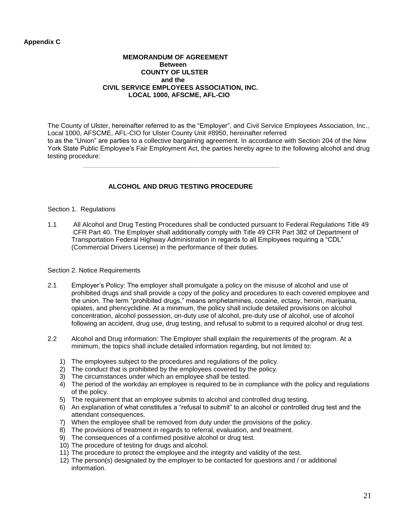#### **Appendix C**

#### **MEMORANDUM OF AGREEMENT Between COUNTY OF ULSTER and the CIVIL SERVICE EMPLOYEES ASSOCIATION, INC. LOCAL 1000, AFSCME, AFL-CIO**

The County of Ulster, hereinafter referred to as the "Employer", and Civil Service Employees Association, Inc., Local 1000, AFSCME, AFL-CIO for Ulster County Unit #8950, hereinafter referred to as the "Union" are parties to a collective bargaining agreement. In accordance with Section 204 of the New York State Public Employee's Fair Employment Act, the parties hereby agree to the following alcohol and drug testing procedure:

#### **ALCOHOL AND DRUG TESTING PROCEDURE**

#### Section 1. Regulations

1.1 All Alcohol and Drug Testing Procedures shall be conducted pursuant to Federal Regulations Title 49 CFR Part 40. The Employer shall additionally comply with Title 49 CFR Part 382 of Department of Transportation Federal Highway Administration in regards to all Employees requiring a "CDL" (Commercial Drivers License) in the performance of their duties.

#### Section 2. Notice Requirements

- 2.1 Employer's Policy: The employer shall promulgate a policy on the misuse of alcohol and use of prohibited drugs and shall provide a copy of the policy and procedures to each covered employee and the union. The term "prohibited drugs," means amphetamines, cocaine, ectasy, heroin, marijuana, opiates, and phencyclidine. At a minimum, the policy shall include detailed provisions on alcohol concentration, alcohol possession, on-duty use of alcohol, pre-duty use of alcohol, use of alcohol following an accident, drug use, drug testing, and refusal to submit to a required alcohol or drug test.
- 2.2 Alcohol and Drug information: The Employer shall explain the requirements of the program. At a minimum, the topics shall include detailed information regarding, but not limited to:
	- 1) The employees subject to the procedures and regulations of the policy.
	- 2) The conduct that is prohibited by the employees covered by the policy.
	- 3) The circumstances under which an employee shall be tested.
	- 4) The period of the workday an employee is required to be in compliance with the policy and regulations of the policy.
	- 5) The requirement that an employee submits to alcohol and controlled drug testing.
	- 6) An explanation of what constitutes a "refusal to submit" to an alcohol or controlled drug test and the attendant consequences.
	- 7) When the employee shall be removed from duty under the provisions of the policy.
	- 8) The provisions of treatment in regards to referral, evaluation, and treatment.
	- 9) The consequences of a confirmed positive alcohol or drug test.
	- 10) The procedure of testing for drugs and alcohol.
	- 11) The procedure to protect the employee and the integrity and validity of the test.
	- 12) The person(s) designated by the employer to be contacted for questions and / or additional information.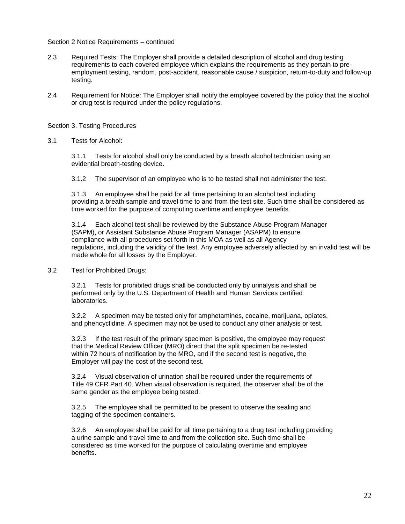#### Section 2 Notice Requirements – continued

- 2.3 Required Tests: The Employer shall provide a detailed description of alcohol and drug testing requirements to each covered employee which explains the requirements as they pertain to preemployment testing, random, post-accident, reasonable cause / suspicion, return-to-duty and follow-up testing.
- 2.4 Requirement for Notice: The Employer shall notify the employee covered by the policy that the alcohol or drug test is required under the policy regulations.

#### Section 3. Testing Procedures

3.1 Tests for Alcohol:

3.1.1 Tests for alcohol shall only be conducted by a breath alcohol technician using an evidential breath-testing device.

3.1.2 The supervisor of an employee who is to be tested shall not administer the test.

3.1.3 An employee shall be paid for all time pertaining to an alcohol test including providing a breath sample and travel time to and from the test site. Such time shall be considered as time worked for the purpose of computing overtime and employee benefits.

3.1.4 Each alcohol test shall be reviewed by the Substance Abuse Program Manager (SAPM), or Assistant Substance Abuse Program Manager (ASAPM) to ensure compliance with all procedures set forth in this MOA as well as all Agency regulations, including the validity of the test. Any employee adversely affected by an invalid test will be made whole for all losses by the Employer.

3.2 Test for Prohibited Drugs:

3.2.1 Tests for prohibited drugs shall be conducted only by urinalysis and shall be performed only by the U.S. Department of Health and Human Services certified laboratories.

3.2.2 A specimen may be tested only for amphetamines, cocaine, marijuana, opiates, and phencyclidine. A specimen may not be used to conduct any other analysis or test.

3.2.3 If the test result of the primary specimen is positive, the employee may request that the Medical Review Officer (MRO) direct that the split specimen be re-tested within 72 hours of notification by the MRO, and if the second test is negative, the Employer will pay the cost of the second test.

3.2.4 Visual observation of urination shall be required under the requirements of Title 49 CFR Part 40. When visual observation is required, the observer shall be of the same gender as the employee being tested.

3.2.5 The employee shall be permitted to be present to observe the sealing and tagging of the specimen containers.

3.2.6 An employee shall be paid for all time pertaining to a drug test including providing a urine sample and travel time to and from the collection site. Such time shall be considered as time worked for the purpose of calculating overtime and employee benefits.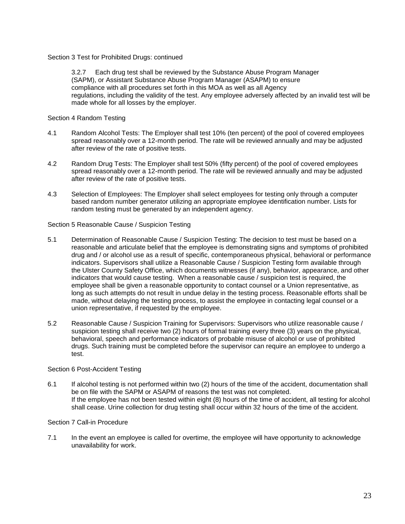Section 3 Test for Prohibited Drugs: continued

3.2.7 Each drug test shall be reviewed by the Substance Abuse Program Manager (SAPM), or Assistant Substance Abuse Program Manager (ASAPM) to ensure compliance with all procedures set forth in this MOA as well as all Agency regulations, including the validity of the test. Any employee adversely affected by an invalid test will be made whole for all losses by the employer.

Section 4 Random Testing

- 4.1 Random Alcohol Tests: The Employer shall test 10% (ten percent) of the pool of covered employees spread reasonably over a 12-month period. The rate will be reviewed annually and may be adjusted after review of the rate of positive tests.
- 4.2 Random Drug Tests: The Employer shall test 50% (fifty percent) of the pool of covered employees spread reasonably over a 12-month period. The rate will be reviewed annually and may be adjusted after review of the rate of positive tests.
- 4.3 Selection of Employees: The Employer shall select employees for testing only through a computer based random number generator utilizing an appropriate employee identification number. Lists for random testing must be generated by an independent agency.

Section 5 Reasonable Cause / Suspicion Testing

- 5.1 Determination of Reasonable Cause / Suspicion Testing: The decision to test must be based on a reasonable and articulate belief that the employee is demonstrating signs and symptoms of prohibited drug and / or alcohol use as a result of specific, contemporaneous physical, behavioral or performance indicators. Supervisors shall utilize a Reasonable Cause / Suspicion Testing form available through the Ulster County Safety Office, which documents witnesses (if any), behavior, appearance, and other indicators that would cause testing. When a reasonable cause / suspicion test is required, the employee shall be given a reasonable opportunity to contact counsel or a Union representative, as long as such attempts do not result in undue delay in the testing process. Reasonable efforts shall be made, without delaying the testing process, to assist the employee in contacting legal counsel or a union representative, if requested by the employee.
- 5.2 Reasonable Cause / Suspicion Training for Supervisors: Supervisors who utilize reasonable cause / suspicion testing shall receive two (2) hours of formal training every three (3) years on the physical, behavioral, speech and performance indicators of probable misuse of alcohol or use of prohibited drugs. Such training must be completed before the supervisor can require an employee to undergo a test.

#### Section 6 Post-Accident Testing

6.1 If alcohol testing is not performed within two (2) hours of the time of the accident, documentation shall be on file with the SAPM or ASAPM of reasons the test was not completed. If the employee has not been tested within eight (8) hours of the time of accident, all testing for alcohol shall cease. Urine collection for drug testing shall occur within 32 hours of the time of the accident.

#### Section 7 Call-in Procedure

7.1 In the event an employee is called for overtime, the employee will have opportunity to acknowledge unavailability for work.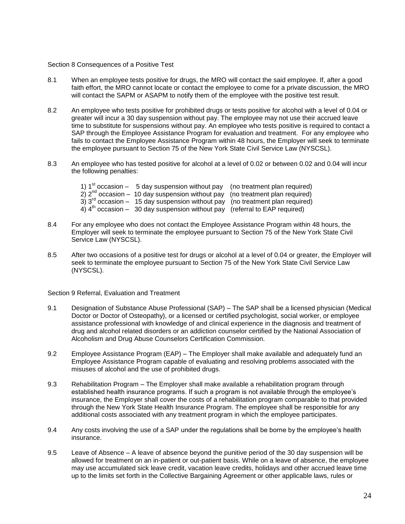#### Section 8 Consequences of a Positive Test

- 8.1 When an employee tests positive for drugs, the MRO will contact the said employee. If, after a good faith effort, the MRO cannot locate or contact the employee to come for a private discussion, the MRO will contact the SAPM or ASAPM to notify them of the employee with the positive test result.
- 8.2 An employee who tests positive for prohibited drugs or tests positive for alcohol with a level of 0.04 or greater will incur a 30 day suspension without pay. The employee may not use their accrued leave time to substitute for suspensions without pay. An employee who tests positive is required to contact a SAP through the Employee Assistance Program for evaluation and treatment. For any employee who fails to contact the Employee Assistance Program within 48 hours, the Employer will seek to terminate the employee pursuant to Section 75 of the New York State Civil Service Law (NYSCSL).
- 8.3 An employee who has tested positive for alcohol at a level of 0.02 or between 0.02 and 0.04 will incur the following penalties:
	- 1)  $1<sup>st</sup>$  occasion 5 day suspension without pay (no treatment plan required)
	- $2)$   $2<sup>nd</sup>$  occasion 10 day suspension without pay (no treatment plan required)
	- $3)$   $3<sup>rd</sup>$  occasion 15 day suspension without pay (no treatment plan required)
	- $4)$   $4<sup>th</sup>$  occasion 30 day suspension without pay (referral to EAP required)
- 8.4 For any employee who does not contact the Employee Assistance Program within 48 hours, the Employer will seek to terminate the employee pursuant to Section 75 of the New York State Civil Service Law (NYSCSL).
- 8.5 After two occasions of a positive test for drugs or alcohol at a level of 0.04 or greater, the Employer will seek to terminate the employee pursuant to Section 75 of the New York State Civil Service Law (NYSCSL).

Section 9 Referral, Evaluation and Treatment

- 9.1 Designation of Substance Abuse Professional (SAP) The SAP shall be a licensed physician (Medical Doctor or Doctor of Osteopathy), or a licensed or certified psychologist, social worker, or employee assistance professional with knowledge of and clinical experience in the diagnosis and treatment of drug and alcohol related disorders or an addiction counselor certified by the National Association of Alcoholism and Drug Abuse Counselors Certification Commission.
- 9.2 Employee Assistance Program (EAP) The Employer shall make available and adequately fund an Employee Assistance Program capable of evaluating and resolving problems associated with the misuses of alcohol and the use of prohibited drugs.
- 9.3 Rehabilitation Program The Employer shall make available a rehabilitation program through established health insurance programs. If such a program is not available through the employee's insurance, the Employer shall cover the costs of a rehabilitation program comparable to that provided through the New York State Health Insurance Program. The employee shall be responsible for any additional costs associated with any treatment program in which the employee participates.
- 9.4 Any costs involving the use of a SAP under the regulations shall be borne by the employee's health insurance.
- 9.5 Leave of Absence A leave of absence beyond the punitive period of the 30 day suspension will be allowed for treatment on an in-patient or out-patient basis. While on a leave of absence, the employee may use accumulated sick leave credit, vacation leave credits, holidays and other accrued leave time up to the limits set forth in the Collective Bargaining Agreement or other applicable laws, rules or